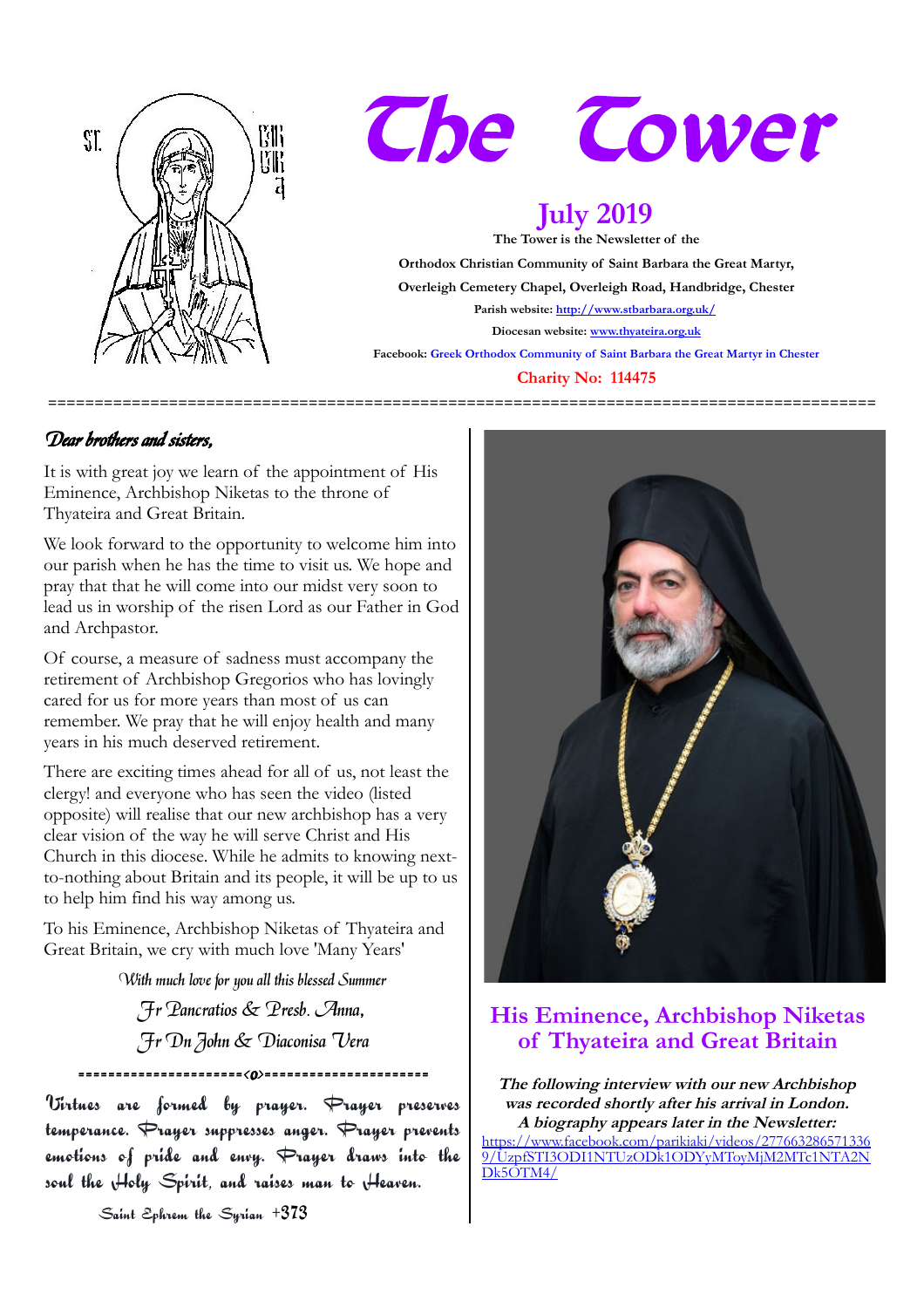

# The Tower

# **July 2019**

**The Tower is the Newsletter of the Orthodox Christian Community of Saint Barbara the Great Martyr, Overleigh Cemetery Chapel, Overleigh Road, Handbridge, Chester Parish website:<http://www.stbarbara.org.uk/> Diocesan website: [www.thyateira.org.uk](http://www.thyateira.org.uk/) Facebook: Greek Orthodox Community of Saint Barbara the Great Martyr in Chester**

#### **Charity No: 114475**

**=========================================================================================**

### Dear brothers and sisters,

It is with great joy we learn of the appointment of His Eminence, Archbishop Niketas to the throne of Thyateira and Great Britain.

We look forward to the opportunity to welcome him into our parish when he has the time to visit us. We hope and pray that that he will come into our midst very soon to lead us in worship of the risen Lord as our Father in God and Archpastor.

Of course, a measure of sadness must accompany the retirement of Archbishop Gregorios who has lovingly cared for us for more years than most of us can remember. We pray that he will enjoy health and many years in his much deserved retirement.

There are exciting times ahead for all of us, not least the clergy! and everyone who has seen the video (listed opposite) will realise that our new archbishop has a very clear vision of the way he will serve Christ and His Church in this diocese. While he admits to knowing nextto-nothing about Britain and its people, it will be up to us to help him find his way among us.

To his Eminence, Archbishop Niketas of Thyateira and Great Britain, we cry with much love 'Many Years'

With much love for you all this blessed Summer

Fr Pancratios & Presb. Anna, Fr Dn John & Diaconisa Vera

======================<o>======================

Virtues are formed by prayer. Prayer preserves temperance. Prayer suppresses anger. Prayer prevents emotions of pride and envy.  $\bigtriangledown$  rayer draws into the soul the Holy Spirit, and raises man to Heaven.



## **His Eminence, Archbishop Niketas of Thyateira and Great Britain**

**The following interview with our new Archbishop was recorded shortly after his arrival in London. A biography appears later in the Newsletter:**

[https://www.facebook.com/parikiaki/videos/277663286571336](https://www.facebook.com/parikiaki/videos/2776632865713369/UzpfSTI3ODI1NTUzODk1ODYyMToyMjM2MTc1NTA2NDk5OTM4/) [9/UzpfSTI3ODI1NTUzODk1ODYyMToyMjM2MTc1NTA2N](https://www.facebook.com/parikiaki/videos/2776632865713369/UzpfSTI3ODI1NTUzODk1ODYyMToyMjM2MTc1NTA2NDk5OTM4/) [Dk5OTM4/](https://www.facebook.com/parikiaki/videos/2776632865713369/UzpfSTI3ODI1NTUzODk1ODYyMToyMjM2MTc1NTA2NDk5OTM4/)

Saint Ephrem the Syrian +373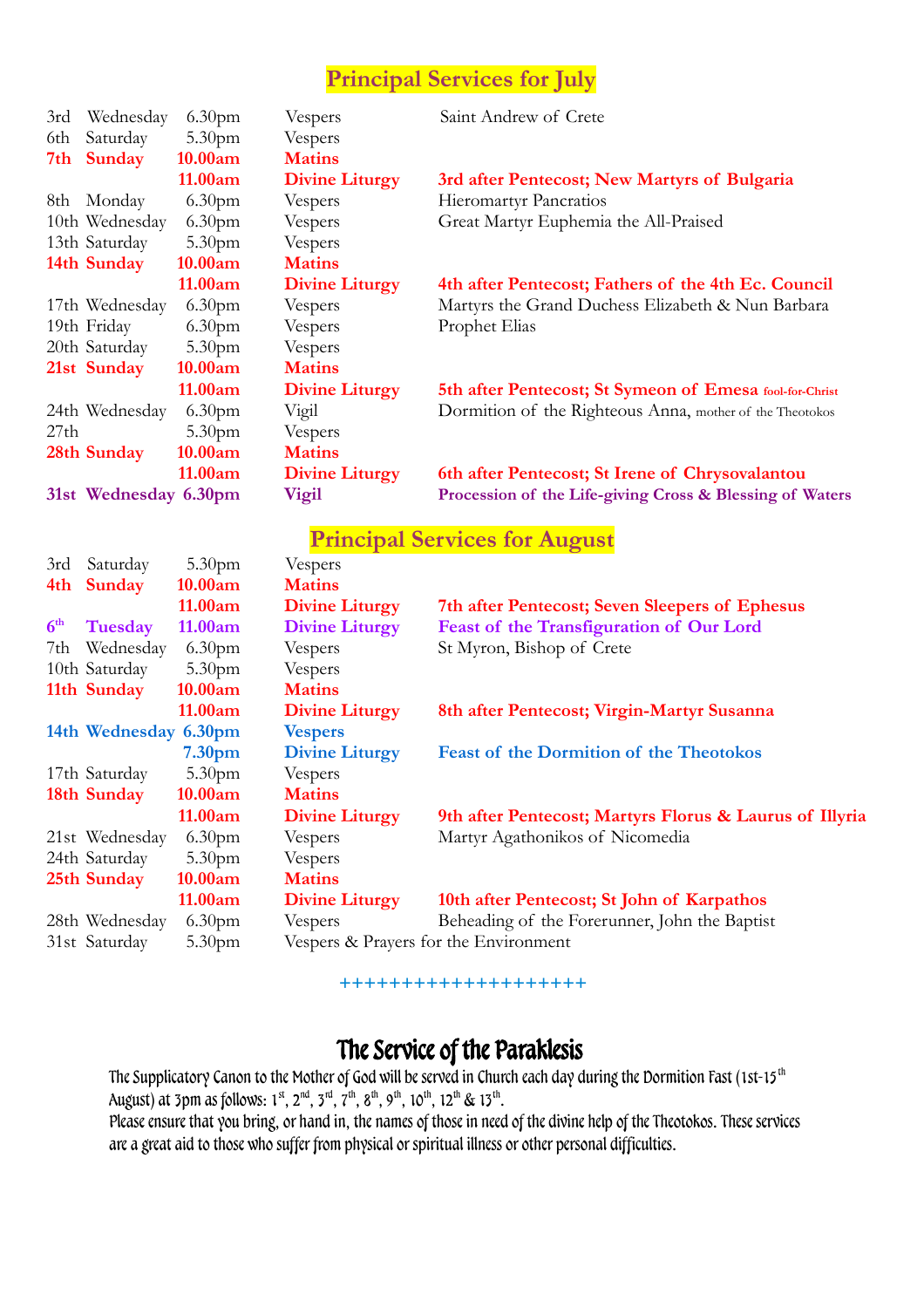## **Principal Services for July**

| 3rd             | Wednesday             | 6.30 <sub>pm</sub> | Vespers                               | Saint Andrew of Crete                                    |
|-----------------|-----------------------|--------------------|---------------------------------------|----------------------------------------------------------|
| 6th             | Saturday              | 5.30pm             | Vespers                               |                                                          |
| 7th             | <b>Sunday</b>         | 10.00am            | <b>Matins</b>                         |                                                          |
|                 |                       | 11.00am            | <b>Divine Liturgy</b>                 | 3rd after Pentecost; New Martyrs of Bulgaria             |
|                 | 8th Monday            | 6.30 <sub>pm</sub> | Vespers                               | <b>Hieromartyr Pancratios</b>                            |
|                 | 10th Wednesday        | 6.30pm             | Vespers                               | Great Martyr Euphemia the All-Praised                    |
|                 | 13th Saturday         | 5.30pm             | Vespers                               |                                                          |
|                 | 14th Sunday           | 10.00am            | <b>Matins</b>                         |                                                          |
|                 |                       | 11.00am            | <b>Divine Liturgy</b>                 | 4th after Pentecost; Fathers of the 4th Ec. Council      |
|                 | 17th Wednesday        | 6.30 <sub>pm</sub> | Vespers                               | Martyrs the Grand Duchess Elizabeth & Nun Barbara        |
|                 | 19th Friday           | 6.30pm             | Vespers                               | Prophet Elias                                            |
|                 | 20th Saturday         | 5.30pm             | Vespers                               |                                                          |
|                 | 21st Sunday           | 10.00am            | <b>Matins</b>                         |                                                          |
|                 |                       | 11.00am            | <b>Divine Liturgy</b>                 | 5th after Pentecost; St Symeon of Emesa fool-for-Christ  |
|                 | 24th Wednesday        | 6.30 <sub>pm</sub> | Vigil                                 | Dormition of the Righteous Anna, mother of the Theotokos |
| 27th            |                       | 5.30pm             | Vespers                               |                                                          |
|                 | 28th Sunday           | 10.00am            | <b>Matins</b>                         |                                                          |
|                 |                       | 11.00am            | <b>Divine Liturgy</b>                 | 6th after Pentecost; St Irene of Chrysovalantou          |
|                 | 31st Wednesday 6.30pm |                    | <b>Vigil</b>                          | Procession of the Life-giving Cross & Blessing of Waters |
|                 |                       |                    |                                       |                                                          |
|                 |                       |                    |                                       | <b>Principal Services for August</b>                     |
| 3rd             | Saturday              | 5.30 <sub>pm</sub> | Vespers                               |                                                          |
| 4th             | <b>Sunday</b>         | 10.00am            | <b>Matins</b>                         |                                                          |
|                 |                       | 11.00am            | <b>Divine Liturgy</b>                 | 7th after Pentecost; Seven Sleepers of Ephesus           |
| 6 <sup>th</sup> | <b>Tuesday</b>        | 11.00am            | <b>Divine Liturgy</b>                 | Feast of the Transfiguration of Our Lord                 |
| 7th             | Wednesday             | 6.30 <sub>pm</sub> | Vespers                               | St Myron, Bishop of Crete                                |
|                 | 10th Saturday         | 5.30 <sub>pm</sub> | Vespers                               |                                                          |
|                 | 11th Sunday           | 10.00am            | <b>Matins</b>                         |                                                          |
|                 |                       | 11.00am            | <b>Divine Liturgy</b>                 | 8th after Pentecost; Virgin-Martyr Susanna               |
|                 | 14th Wednesday 6.30pm |                    | <b>Vespers</b>                        |                                                          |
|                 |                       | 7.30 <sub>pm</sub> | <b>Divine Liturgy</b>                 | <b>Feast of the Dormition of the Theotokos</b>           |
|                 | 17th Saturday         | 5.30pm             | Vespers                               |                                                          |
|                 | 18th Sunday           | 10.00am            | <b>Matins</b>                         |                                                          |
|                 |                       | 11.00am            | <b>Divine Liturgy</b>                 | 9th after Pentecost; Martyrs Florus & Laurus of Illyria  |
|                 | 21st Wednesday        | 6.30 <sub>pm</sub> | Vespers                               | Martyr Agathonikos of Nicomedia                          |
|                 | 24th Saturday         | 5.30 <sub>pm</sub> | Vespers                               |                                                          |
|                 | 25th Sunday           | 10.00am            | <b>Matins</b>                         |                                                          |
|                 |                       | 11.00am            | <b>Divine Liturgy</b>                 | 10th after Pentecost; St John of Karpathos               |
|                 | 28th Wednesday        | 6.30 <sub>pm</sub> | Vespers                               | Beheading of the Forerunner, John the Baptist            |
|                 | 31st Saturday         | 5.30 <sub>pm</sub> | Vespers & Prayers for the Environment |                                                          |
|                 |                       |                    |                                       |                                                          |

**++++++++++++++++++++**

## The Service of the Paraklesis

The Supplicatory Canon to the Mother of God will be served in Church each day during the Dormition Fast (1st-15<sup>th</sup> August) at 3pm as follows:  $1^{st}$ ,  $2^{nd}$ ,  $3^{rd}$ ,  $7^{th}$ ,  $8^{th}$ ,  $9^{th}$ ,  $10^{th}$ ,  $12^{th}$  &  $13^{th}$ .

Please ensure that you bring, or hand in, the names of those in need of the divine help of the Theotokos. These services are a great aid to those who suffer from physical or spiritual illness or other personal difficulties.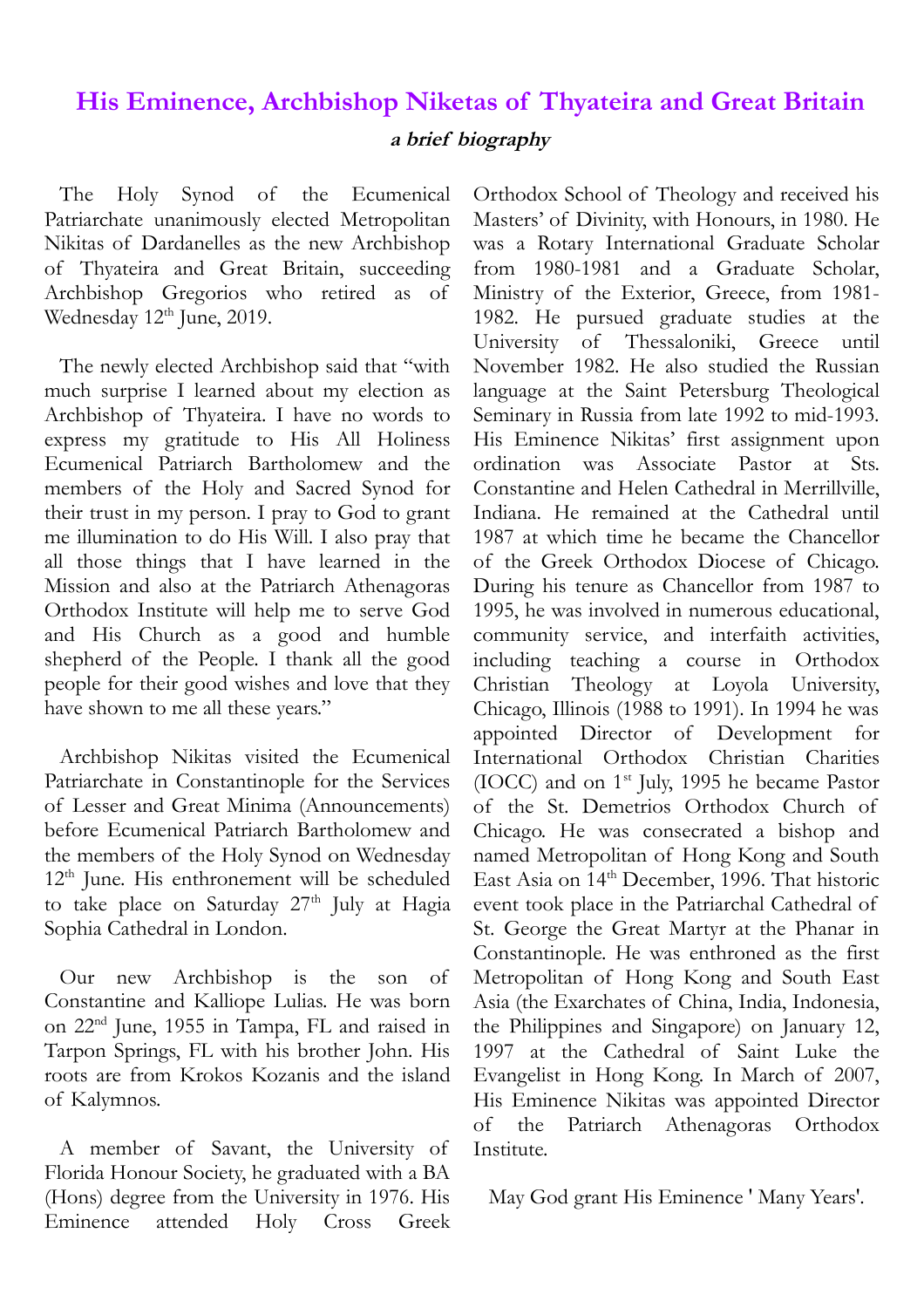## **His Eminence, Archbishop Niketas of Thyateira and Great Britain a brief biography**

The Holy Synod of the Ecumenical Patriarchate unanimously elected Metropolitan Nikitas of Dardanelles as the new Archbishop of Thyateira and Great Britain, succeeding Archbishop Gregorios who retired as of Wednesday 12<sup>th</sup> June, 2019.

The newly elected Archbishop said that "with much surprise I learned about my election as Archbishop of Thyateira. I have no words to express my gratitude to His All Holiness Ecumenical Patriarch Bartholomew and the members of the Holy and Sacred Synod for their trust in my person. I pray to God to grant me illumination to do His Will. I also pray that all those things that I have learned in the Mission and also at the Patriarch Athenagoras Orthodox Institute will help me to serve God and His Church as a good and humble shepherd of the People. I thank all the good people for their good wishes and love that they have shown to me all these years."

Archbishop Nikitas visited the Ecumenical Patriarchate in Constantinople for the Services of Lesser and Great Minima (Announcements) before Ecumenical Patriarch Bartholomew and the members of the Holy Synod on Wednesday 12th June. His enthronement will be scheduled to take place on Saturday 27<sup>th</sup> July at Hagia Sophia Cathedral in London.

Our new Archbishop is the son of Constantine and Kalliope Lulias. He was born on 22nd June, 1955 in Tampa, FL and raised in Tarpon Springs, FL with his brother John. His roots are from Krokos Kozanis and the island of Kalymnos.

A member of Savant, the University of Florida Honour Society, he graduated with a BA (Hons) degree from the University in 1976. His Eminence attended Holy Cross Greek

Orthodox School of Theology and received his Masters' of Divinity, with Honours, in 1980. He was a Rotary International Graduate Scholar from 1980-1981 and a Graduate Scholar, Ministry of the Exterior, Greece, from 1981- 1982. He pursued graduate studies at the University of Thessaloniki, Greece until November 1982. He also studied the Russian language at the Saint Petersburg Theological Seminary in Russia from late 1992 to mid-1993. His Eminence Nikitas' first assignment upon ordination was Associate Pastor at Sts. Constantine and Helen Cathedral in Merrillville, Indiana. He remained at the Cathedral until 1987 at which time he became the Chancellor of the Greek Orthodox Diocese of Chicago. During his tenure as Chancellor from 1987 to 1995, he was involved in numerous educational, community service, and interfaith activities, including teaching a course in Orthodox Christian Theology at Loyola University, Chicago, Illinois (1988 to 1991). In 1994 he was appointed Director of Development for International Orthodox Christian Charities (IOCC) and on  $1<sup>st</sup>$  July, 1995 he became Pastor of the St. Demetrios Orthodox Church of Chicago. He was consecrated a bishop and named Metropolitan of Hong Kong and South East Asia on 14th December, 1996. That historic event took place in the Patriarchal Cathedral of St. George the Great Martyr at the Phanar in Constantinople. He was enthroned as the first Metropolitan of Hong Kong and South East Asia (the Exarchates of China, India, Indonesia, the Philippines and Singapore) on January 12, 1997 at the Cathedral of Saint Luke the Evangelist in Hong Kong. In March of 2007, His Eminence Nikitas was appointed Director of the Patriarch Athenagoras Orthodox Institute.

May God grant His Eminence ' Many Years'.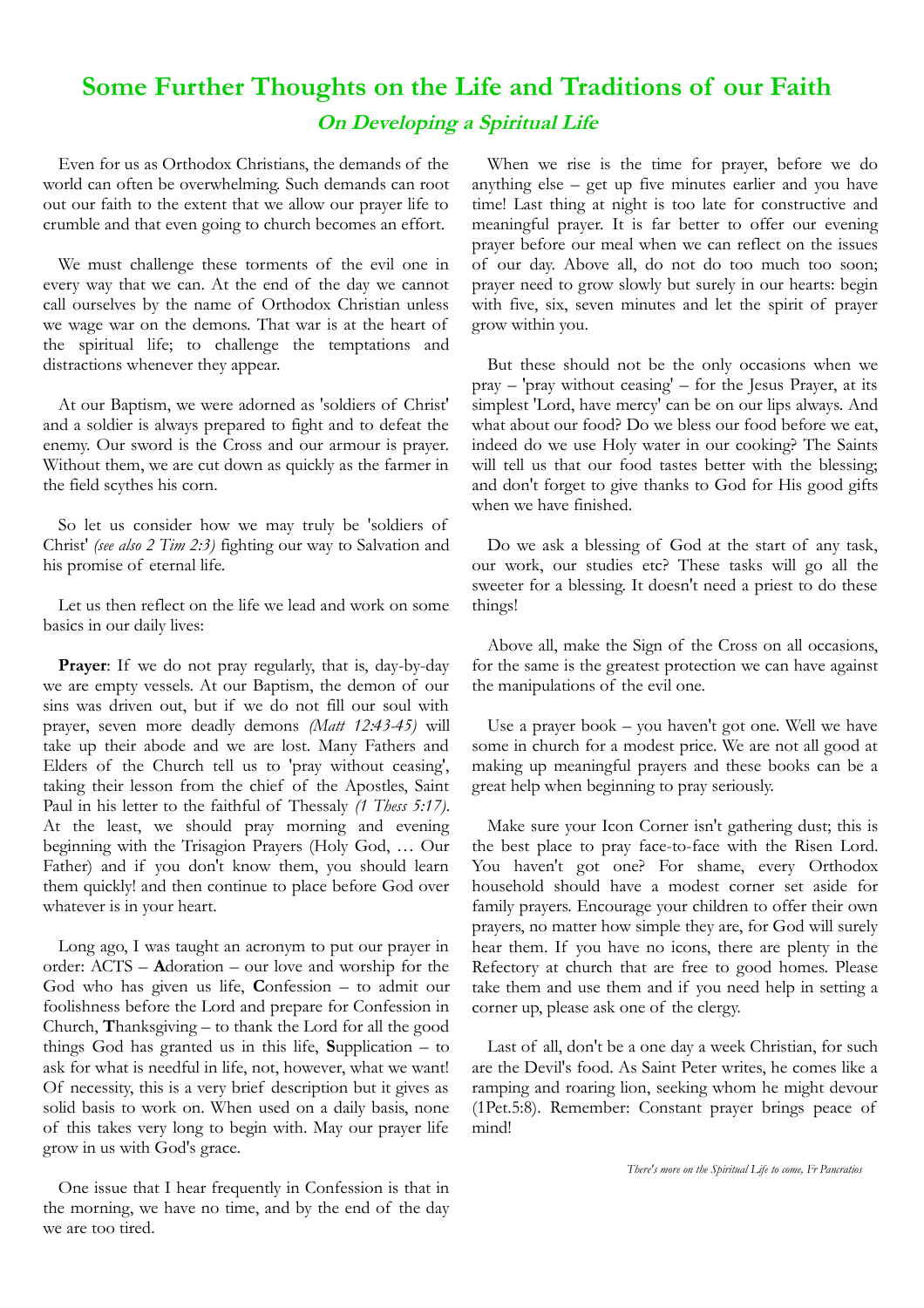## **Some Further Thoughts on the Life and Traditions of our Faith On Developing a Spiritual Life**

Even for us as Orthodox Christians, the demands of the world can often be overwhelming. Such demands can root out our faith to the extent that we allow our prayer life to crumble and that even going to church becomes an effort.

We must challenge these torments of the evil one in every way that we can. At the end of the day we cannot call ourselves by the name of Orthodox Christian unless we wage war on the demons. That war is at the heart of the spiritual life; to challenge the temptations and distractions whenever they appear.

At our Baptism, we were adorned as 'soldiers of Christ' and a soldier is always prepared to fight and to defeat the enemy. Our sword is the Cross and our armour is prayer. Without them, we are cut down as quickly as the farmer in the field scythes his corn.

So let us consider how we may truly be 'soldiers of Christ' *(see also 2 Tim 2:3)* fighting our way to Salvation and his promise of eternal life.

Let us then reflect on the life we lead and work on some basics in our daily lives:

**Prayer**: If we do not pray regularly, that is, day-by-day we are empty vessels. At our Baptism, the demon of our sins was driven out, but if we do not fill our soul with prayer, seven more deadly demons *(Matt 12:43-45)* will take up their abode and we are lost. Many Fathers and Elders of the Church tell us to 'pray without ceasing', taking their lesson from the chief of the Apostles, Saint Paul in his letter to the faithful of Thessaly *(1 Thess 5:17)*. At the least, we should pray morning and evening beginning with the Trisagion Prayers (Holy God, … Our Father) and if you don't know them, you should learn them quickly! and then continue to place before God over whatever is in your heart.

Long ago, I was taught an acronym to put our prayer in order: ACTS – **A**doration – our love and worship for the God who has given us life, **C**onfession – to admit our foolishness before the Lord and prepare for Confession in Church, **T**hanksgiving – to thank the Lord for all the good things God has granted us in this life, **S**upplication – to ask for what is needful in life, not, however, what we want! Of necessity, this is a very brief description but it gives as solid basis to work on. When used on a daily basis, none of this takes very long to begin with. May our prayer life grow in us with God's grace.

One issue that I hear frequently in Confession is that in the morning, we have no time, and by the end of the day we are too tired.

When we rise is the time for prayer, before we do anything else – get up five minutes earlier and you have time! Last thing at night is too late for constructive and meaningful prayer. It is far better to offer our evening prayer before our meal when we can reflect on the issues of our day. Above all, do not do too much too soon; prayer need to grow slowly but surely in our hearts: begin with five, six, seven minutes and let the spirit of prayer grow within you.

But these should not be the only occasions when we pray – 'pray without ceasing' – for the Jesus Prayer, at its simplest 'Lord, have mercy' can be on our lips always. And what about our food? Do we bless our food before we eat, indeed do we use Holy water in our cooking? The Saints will tell us that our food tastes better with the blessing; and don't forget to give thanks to God for His good gifts when we have finished.

Do we ask a blessing of God at the start of any task, our work, our studies etc? These tasks will go all the sweeter for a blessing. It doesn't need a priest to do these things!

Above all, make the Sign of the Cross on all occasions, for the same is the greatest protection we can have against the manipulations of the evil one.

Use a prayer book – you haven't got one. Well we have some in church for a modest price. We are not all good at making up meaningful prayers and these books can be a great help when beginning to pray seriously.

Make sure your Icon Corner isn't gathering dust; this is the best place to pray face-to-face with the Risen Lord. You haven't got one? For shame, every Orthodox household should have a modest corner set aside for family prayers. Encourage your children to offer their own prayers, no matter how simple they are, for God will surely hear them. If you have no icons, there are plenty in the Refectory at church that are free to good homes. Please take them and use them and if you need help in setting a corner up, please ask one of the clergy.

Last of all, don't be a one day a week Christian, for such are the Devil's food. As Saint Peter writes, he comes like a ramping and roaring lion, seeking whom he might devour (1Pet.5:8). Remember: Constant prayer brings peace of mind!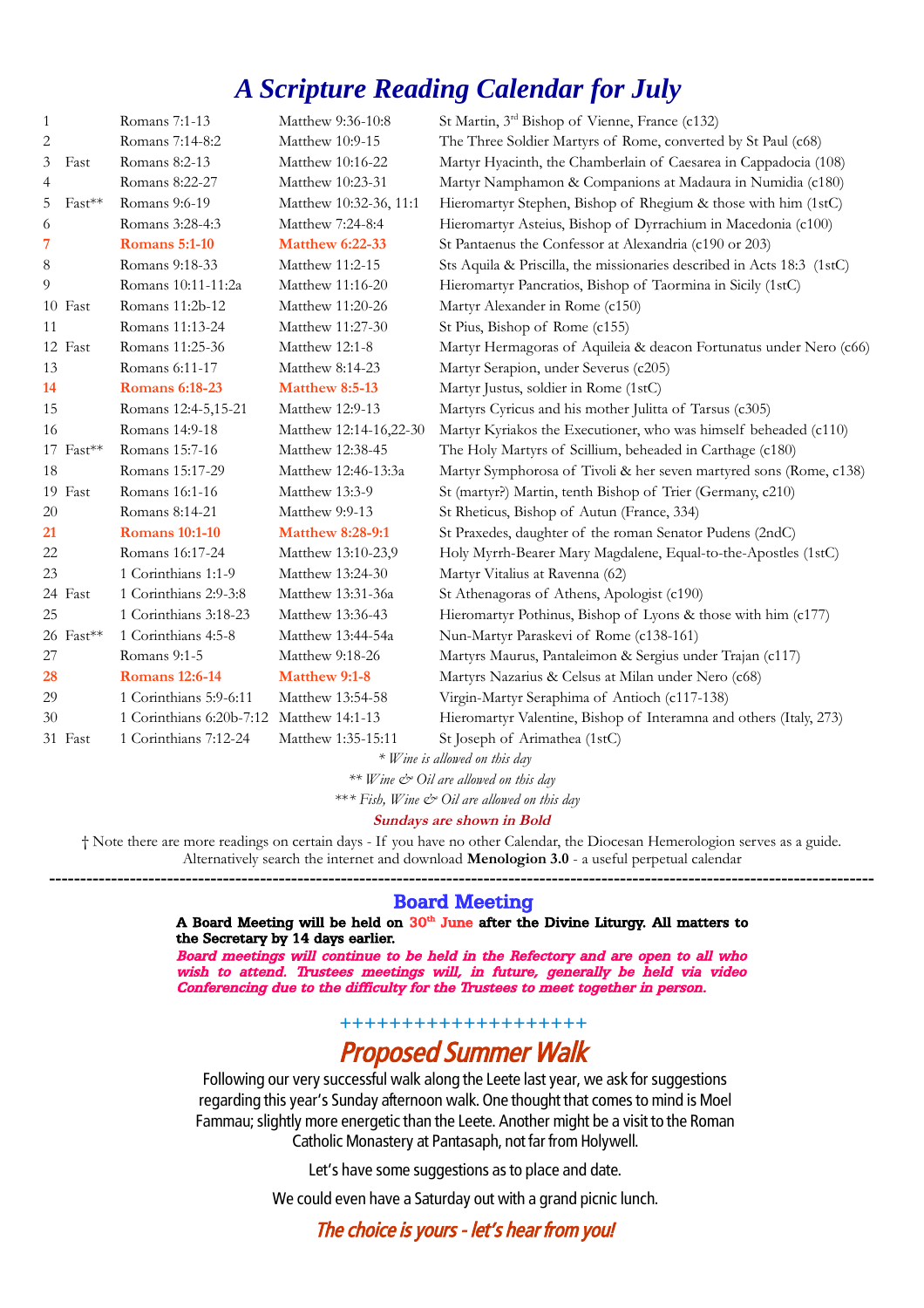## *A Scripture Reading Calendar for July*

| 1         |             | Romans 7:1-13                            | Matthew 9:36-10:8       | St Martin, 3 <sup>rd</sup> Bishop of Vienne, France (c132)             |
|-----------|-------------|------------------------------------------|-------------------------|------------------------------------------------------------------------|
| 2         |             | Romans 7:14-8:2                          | Matthew 10:9-15         | The Three Soldier Martyrs of Rome, converted by St Paul (c68)          |
| 3         | Fast        | Romans 8:2-13                            | Matthew 10:16-22        | Martyr Hyacinth, the Chamberlain of Caesarea in Cappadocia (108)       |
| 4         |             | Romans 8:22-27                           | Matthew 10:23-31        | Martyr Namphamon & Companions at Madaura in Numidia (c180)             |
| 5         | Fast**      | Romans 9:6-19                            | Matthew 10:32-36, 11:1  | Hieromartyr Stephen, Bishop of Rhegium & those with him (1stC)         |
| 6         |             | Romans 3:28-4:3                          | Matthew 7:24-8:4        | Hieromartyr Asteius, Bishop of Dyrrachium in Macedonia (c100)          |
| 7         |             | <b>Romans</b> 5:1-10                     | <b>Matthew 6:22-33</b>  | St Pantaenus the Confessor at Alexandria (c190 or 203)                 |
| $\,8\,$   |             | Romans 9:18-33                           | Matthew 11:2-15         | Sts Aquila & Priscilla, the missionaries described in Acts 18:3 (1stC) |
| 9         |             | Romans 10:11-11:2a                       | Matthew 11:16-20        | Hieromartyr Pancratios, Bishop of Taormina in Sicily (1stC)            |
|           | 10 Fast     | Romans 11:2b-12                          | Matthew 11:20-26        | Martyr Alexander in Rome (c150)                                        |
| 11        |             | Romans 11:13-24                          | Matthew 11:27-30        | St Pius, Bishop of Rome (c155)                                         |
|           | 12 Fast     | Romans 11:25-36                          | Matthew 12:1-8          | Martyr Hermagoras of Aquileia & deacon Fortunatus under Nero (c66)     |
| 13        |             | Romans 6:11-17                           | Matthew 8:14-23         | Martyr Serapion, under Severus (c205)                                  |
| 14        |             | <b>Romans 6:18-23</b>                    | Matthew 8:5-13          | Martyr Justus, soldier in Rome (1stC)                                  |
| 15        |             | Romans 12:4-5,15-21                      | Matthew 12:9-13         | Martyrs Cyricus and his mother Julitta of Tarsus (c305)                |
| 16        |             | Romans 14:9-18                           | Matthew 12:14-16,22-30  | Martyr Kyriakos the Executioner, who was himself beheaded (c110)       |
|           | $17$ Fast** | Romans 15:7-16                           | Matthew 12:38-45        | The Holy Martyrs of Scillium, beheaded in Carthage (c180)              |
| 18        |             | Romans 15:17-29                          | Matthew 12:46-13:3a     | Martyr Symphorosa of Tivoli & her seven martyred sons (Rome, c138)     |
|           | 19 Fast     | Romans 16:1-16                           | Matthew 13:3-9          | St (martyr?) Martin, tenth Bishop of Trier (Germany, c210)             |
| 20        |             | Romans 8:14-21                           | Matthew 9:9-13          | St Rheticus, Bishop of Autun (France, 334)                             |
| <b>21</b> |             | <b>Romans 10:1-10</b>                    | <b>Matthew 8:28-9:1</b> | St Praxedes, daughter of the roman Senator Pudens (2ndC)               |
| 22        |             | Romans 16:17-24                          | Matthew 13:10-23,9      | Holy Myrrh-Bearer Mary Magdalene, Equal-to-the-Apostles (1stC)         |
| 23        |             | 1 Corinthians 1:1-9                      | Matthew 13:24-30        | Martyr Vitalius at Ravenna (62)                                        |
|           | 24 Fast     | 1 Corinthians 2:9-3:8                    | Matthew 13:31-36a       | St Athenagoras of Athens, Apologist (c190)                             |
| 25        |             | 1 Corinthians 3:18-23                    | Matthew 13:36-43        | Hieromartyr Pothinus, Bishop of Lyons & those with him (c177)          |
|           | 26 Fast**   | 1 Corinthians 4:5-8                      | Matthew 13:44-54a       | Nun-Martyr Paraskevi of Rome (c138-161)                                |
| 27        |             | Romans 9:1-5                             | Matthew 9:18-26         | Martyrs Maurus, Pantaleimon & Sergius under Trajan (c117)              |
| 28        |             | <b>Romans 12:6-14</b>                    | <b>Matthew 9:1-8</b>    | Martyrs Nazarius & Celsus at Milan under Nero (c68)                    |
| 29        |             | 1 Corinthians 5:9-6:11                   | Matthew 13:54-58        | Virgin-Martyr Seraphima of Antioch (c117-138)                          |
| 30        |             | 1 Corinthians 6:20b-7:12 Matthew 14:1-13 |                         | Hieromartyr Valentine, Bishop of Interamna and others (Italy, 273)     |
|           | 31 Fast     | 1 Corinthians 7:12-24                    | Matthew 1:35-15:11      | St Joseph of Arimathea (1stC)                                          |
|           |             |                                          |                         | * Wine is allowed on this day                                          |

*\*\* Wine & Oil are allowed on this day* 

\*\**\* Fish, Wine & Oil are allowed on this day* 

#### **Sundays are shown in Bold**

† Note there are more readings on certain days - If you have no other Calendar, the Diocesan Hemerologion serves as a guide. Alternatively search the internet and download **Menologion 3.0** - a useful perpetual calendar

#### **-------------------------------------------------------------------------------------------------------------------------------------** Board Meeting

#### A Board Meeting will be held on  $30<sup>th</sup>$  June after the Divine Liturgy. All matters to the Secretary by 14 days earlier.

Board meetings will continue to be held in the Refectory and are open to all who wish to attend. Trustees meetings will, in future, generally be held via video Conferencing due to the difficulty for the Trustees to meet together in person.

**++++++++++++++++++++**

## Proposed Summer Walk

Following our very successful walk along the Leete last year, we ask for suggestions regarding this year's Sunday afternoon walk. One thought that comes to mind is Moel Fammau; slightly more energetic than the Leete. Another might be a visit to the Roman Catholic Monastery at Pantasaph, not far from Holywell.

Let's have some suggestions as to place and date.

We could even have a Saturday out with a grand picnic lunch.

The choice is yours - let's hear from you!